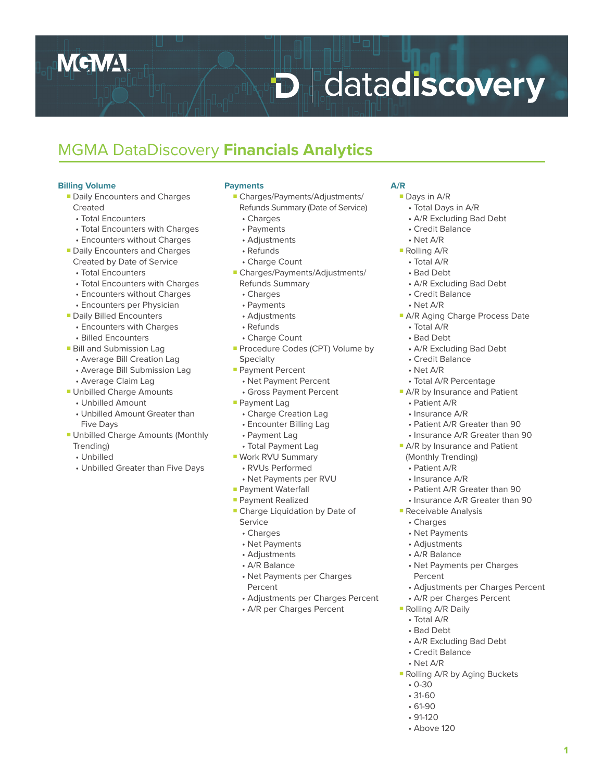## **MEMA**

# **D** datadiscovery

### MGMA DataDiscovery **Financials Analytics**

#### **Billing Volume**

- Daily Encounters and Charges Created
	- Total Encounters
	- Total Encounters with Charges
	- Encounters without Charges
- Daily Encounters and Charges
- Created by Date of Service
- Total Encounters
- Total Encounters with Charges
- Encounters without Charges
- Encounters per Physician
- Daily Billed Encounters
	- Encounters with Charges
	- Billed Encounters
- Bill and Submission Lag
	- Average Bill Creation Lag
	- Average Bill Submission Lag
	- Average Claim Lag
- Unbilled Charge Amounts
	- Unbilled Amount
	- Unbilled Amount Greater than Five Days
- Unbilled Charge Amounts (Monthly Trending)
	- Unbilled
	- Unbilled Greater than Five Days

#### **Payments**

- Charges/Payments/Adjustments/ Refunds Summary (Date of Service)
- Charges
- Payments
- Adjustments
- Refunds
- Charge Count
- Charges/Payments/Adjustments/ Refunds Summary
	- Charges
	- Payments
	- Adjustments
	- Refunds
	- Charge Count
- Procedure Codes (CPT) Volume by **Specialty**
- Payment Percent
- Net Payment Percent
- Gross Payment Percent
- Payment Lag
- Charge Creation Lag
- Encounter Billing Lag
- Payment Lag
- Total Payment Lag
- Work RVU Summary
- RVUs Performed
- Net Payments per RVU
- Payment Waterfall
- Payment Realized
- Charge Liquidation by Date of Service
	- Charges
	- Net Payments
	- Adjustments
	- A/R Balance
	- Net Payments per Charges Percent
	- Adjustments per Charges Percent
	- A/R per Charges Percent

#### **A/R**

- Days in A/R
- Total Days in A/R
- A/R Excluding Bad Debt
- Credit Balance
- Net A/R
- Rolling A/R
	- Total A/R
	- Bad Debt
	- A/R Excluding Bad Debt
	- Credit Balance
- Net A/R
- A/R Aging Charge Process Date
	- Total A/R
	- Bad Debt
	- A/R Excluding Bad Debt
	- Credit Balance
	- Net A/R
- Total A/R Percentage
- A/R by Insurance and Patient
	- Patient A/R
	- Insurance A/R
	- Patient A/R Greater than 90
	- Insurance A/R Greater than 90
- A/R by Insurance and Patient (Monthly Trending)
	- Patient A/R
	- Insurance A/R
	- Patient A/R Greater than 90
	- Insurance A/R Greater than 90
- Receivable Analysis
	- Charges
	- Net Payments
	- Adjustments
	- A/R Balance
	- Net Payments per Charges Percent
	- Adjustments per Charges Percent

**1**

• A/R per Charges Percent

• A/R Excluding Bad Debt

■ Rolling A/R by Aging Buckets

■ Rolling A/R Daily • Total A/R

> • Credit Balance • Net A/R

• Bad Debt

 • 0-30 • 31-60 • 61-90  $.91-120$ • Above 120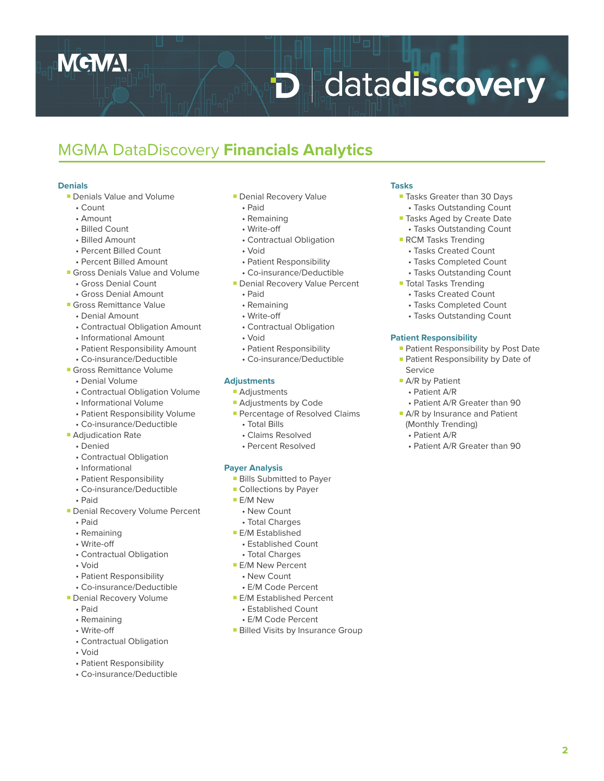## **MGMA**

# **D** datadiscovery

### MGMA DataDiscovery **Financials Analytics**

#### **Denials**

- Denials Value and Volume
	- Count
	- Amount
	- Billed Count
	- Billed Amount
	- Percent Billed Count
	- Percent Billed Amount
- Gross Denials Value and Volume
	- Gross Denial Count
	- Gross Denial Amount
- Gross Remittance Value
	- Denial Amount
	- Contractual Obligation Amount
	- Informational Amount
	- Patient Responsibility Amount
- Co-insurance/Deductible ■ Gross Remittance Volume
	- Denial Volume
	-
	- Contractual Obligation Volume
	- Informational Volume
	- Patient Responsibility Volume • Co-insurance/Deductible
- Adjudication Rate
	- Denied
	- Contractual Obligation
	- Informational
	- Patient Responsibility
	- Co-insurance/Deductible
	- Paid
- Denial Recovery Volume Percent
	- Paid
	- Remaining
	- Write-off
	- Contractual Obligation
	- Void
	- Patient Responsibility
	- Co-insurance/Deductible
- Denial Recovery Volume
	- Paid
	- Remaining
	- Write-off
	- Contractual Obligation
	- Void
	- Patient Responsibility
	- Co-insurance/Deductible
- Denial Recovery Value
- Paid
- Remaining
- Write-off
- Contractual Obligation
- Void
- Patient Responsibility
- Co-insurance/Deductible
- Denial Recovery Value Percent
	- Paid
	- Remaining
	- Write-off
	- Contractual Obligation
	- Void
	- Patient Responsibility
	- Co-insurance/Deductible

#### **Adjustments**

- Adjustments
- Adjustments by Code
- Percentage of Resolved Claims
	- Total Bills
	- Claims Resolved
	- Percent Resolved

#### **Payer Analysis**

- Bills Submitted to Payer
- Collections by Payer
- E/M New
- New Count
- Total Charges
- E/M Established
- Established Count
- Total Charges
- E/M New Percent
- New Count
- E/M Code Percent
- E/M Established Percent
	- Established Count
- E/M Code Percent
- Billed Visits by Insurance Group

#### **Tasks**

- Tasks Greater than 30 Days • Tasks Outstanding Count
- Tasks Aged by Create Date
- Tasks Outstanding Count
- RCM Tasks Trending • Tasks Created Count
	- Tasks Completed Count
	- Tasks Outstanding Count
- Total Tasks Trending
	- Tasks Created Count
	- Tasks Completed Count
	- Tasks Outstanding Count

#### **Patient Responsibility**

(Monthly Trending) • Patient A/R

Service ■ A/R by Patient • Patient A/R

■ Patient Responsibility by Post Date ■ Patient Responsibility by Date of

 • Patient A/R Greater than 90 ■ A/R by Insurance and Patient

• Patient A/R Greater than 90

**2**